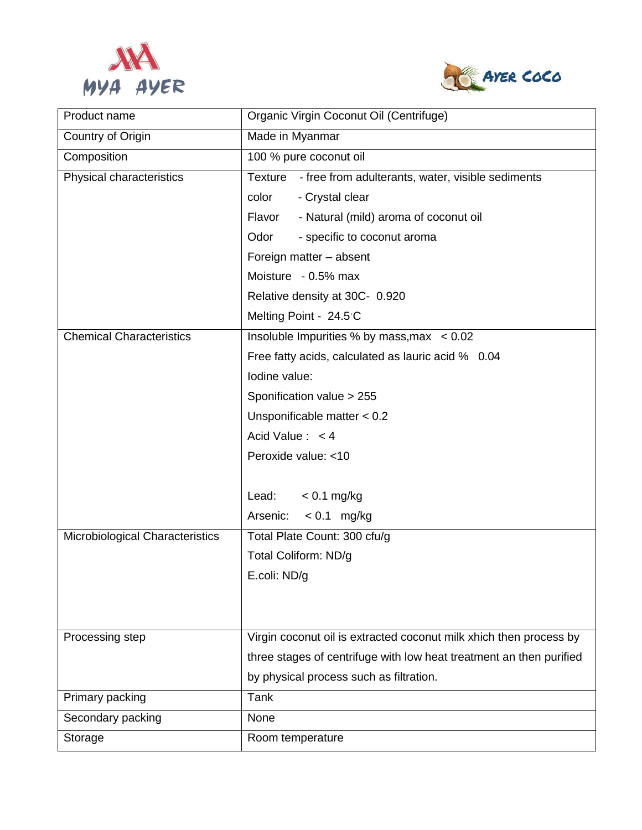



| Product name                    | Organic Virgin Coconut Oil (Centrifuge)                             |
|---------------------------------|---------------------------------------------------------------------|
| Country of Origin               | Made in Myanmar                                                     |
| Composition                     | 100 % pure coconut oil                                              |
| Physical characteristics        | Texture<br>- free from adulterants, water, visible sediments        |
|                                 | - Crystal clear<br>color                                            |
|                                 | - Natural (mild) aroma of coconut oil<br>Flavor                     |
|                                 | Odor<br>- specific to coconut aroma                                 |
|                                 | Foreign matter - absent                                             |
|                                 | Moisture - 0.5% max                                                 |
|                                 | Relative density at 30C- 0.920                                      |
|                                 | Melting Point - 24.5 C                                              |
| <b>Chemical Characteristics</b> | Insoluble Impurities % by mass, max < 0.02                          |
|                                 | Free fatty acids, calculated as lauric acid % 0.04                  |
|                                 | Iodine value:                                                       |
|                                 | Sponification value > 255                                           |
|                                 | Unsponificable matter $< 0.2$                                       |
|                                 | Acid Value: $< 4$                                                   |
|                                 | Peroxide value: <10                                                 |
|                                 |                                                                     |
|                                 | $< 0.1$ mg/kg<br>Lead:                                              |
|                                 | $< 0.1$ mg/kg<br>Arsenic:                                           |
| Microbiological Characteristics | Total Plate Count: 300 cfu/g                                        |
|                                 | Total Coliform: ND/g                                                |
|                                 | E.coli: ND/g                                                        |
|                                 |                                                                     |
|                                 |                                                                     |
| Processing step                 | Virgin coconut oil is extracted coconut milk xhich then process by  |
|                                 | three stages of centrifuge with low heat treatment an then purified |
|                                 | by physical process such as filtration.                             |
| Primary packing                 | Tank                                                                |
| Secondary packing               | None                                                                |
| Storage                         | Room temperature                                                    |